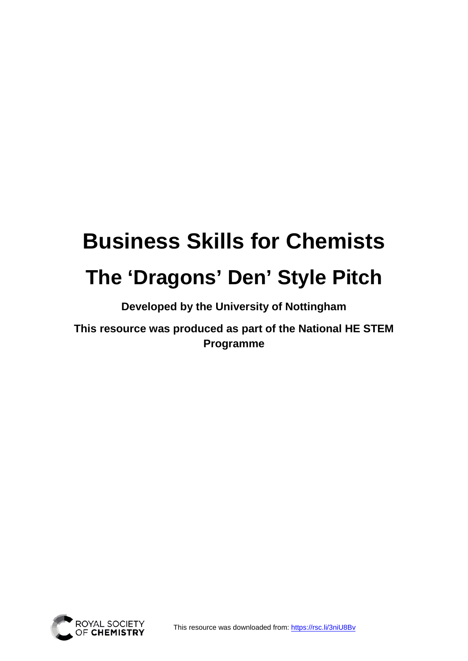# **Business Skills for Chemists The 'Dragons' Den' Style Pitch**

**Developed by the University of Nottingham** 

**This resource was produced as part of the National HE STEM Programme**

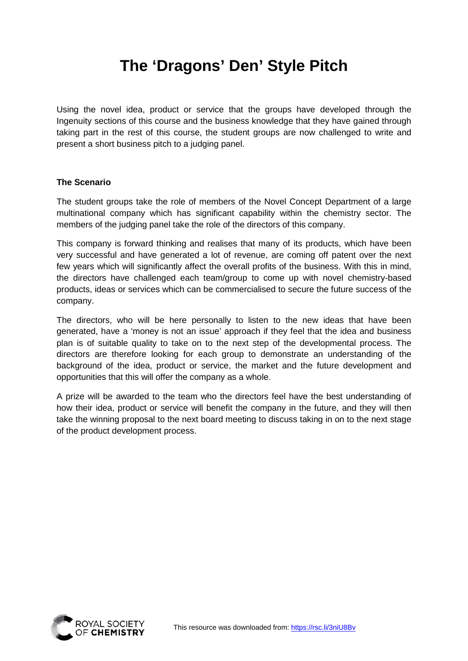# **The 'Dragons' Den' Style Pitch**

Using the novel idea, product or service that the groups have developed through the Ingenuity sections of this course and the business knowledge that they have gained through taking part in the rest of this course, the student groups are now challenged to write and present a short business pitch to a judging panel.

# **The Scenario**

The student groups take the role of members of the Novel Concept Department of a large multinational company which has significant capability within the chemistry sector. The members of the judging panel take the role of the directors of this company.

This company is forward thinking and realises that many of its products, which have been very successful and have generated a lot of revenue, are coming off patent over the next few years which will significantly affect the overall profits of the business. With this in mind, the directors have challenged each team/group to come up with novel chemistry-based products, ideas or services which can be commercialised to secure the future success of the company.

The directors, who will be here personally to listen to the new ideas that have been generated, have a 'money is not an issue' approach if they feel that the idea and business plan is of suitable quality to take on to the next step of the developmental process. The directors are therefore looking for each group to demonstrate an understanding of the background of the idea, product or service, the market and the future development and opportunities that this will offer the company as a whole.

A prize will be awarded to the team who the directors feel have the best understanding of how their idea, product or service will benefit the company in the future, and they will then take the winning proposal to the next board meeting to discuss taking in on to the next stage of the product development process.